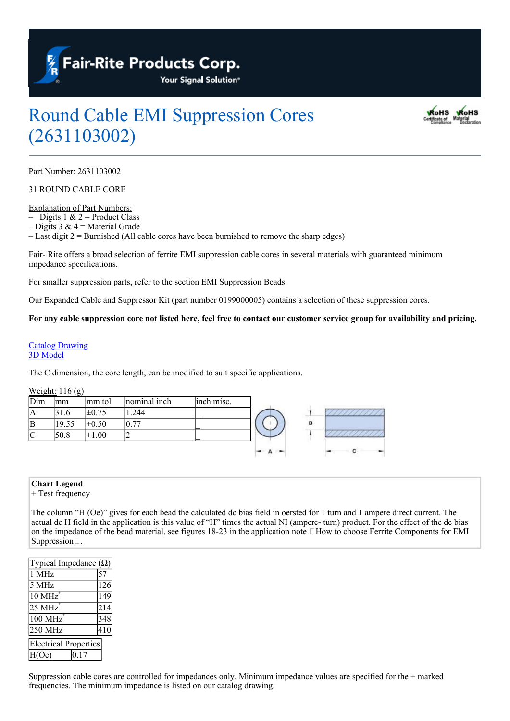

# Round Cable EMI Suppression Cores (2631103002)



Part Number: 2631103002

31 ROUND CABLE CORE

Explanation of Part Numbers:

– Digits 1  $& 2$  = Product Class

– Digits 3 &  $4$  = Material Grade

– Last digit 2 = Burnished (All cable cores have been burnished to remove the sharp edges)

Fair- Rite offers a broad selection of ferrite EMI suppression cable cores in several materials with guaranteed minimum impedance specifications.

For smaller suppression parts, refer to the section EMI Suppression Beads.

Our Expanded Cable and Suppressor Kit (part number 0199000005) contains a selection of these suppression cores.

For any cable suppression core not listed here, feel free to contact our customer service group for availability and pricing.

#### [Catalog](https://www.fair-rite.com/wp-content/uploads/2019/09/2631103002cat.pdf) [Drawing](https://www.fair-rite.com/wp-content/uploads/2019/09/2631103002cat.pdf) [3D](https://www.fair-rite.com/wp-content/uploads/2019/01/2631103002.zip) [Model](https://www.fair-rite.com/wp-content/uploads/2019/01/2631103002.zip)

The C dimension, the core length, can be modified to suit specific applications.

#### Weight: 116 (g)

| Dim            | mm    | mm tol     | nominal inch | inch misc. |   |                   |
|----------------|-------|------------|--------------|------------|---|-------------------|
| IА             | . 6   | $\pm 0.75$ | .244         |            |   | <b>CONTRACTOR</b> |
| <sup>1</sup> B | 19.55 | $\pm 0.50$ | 0.77         |            | в |                   |
|                | 50.8  | $\pm 1.00$ | ∼            |            |   |                   |
|                |       |            |              |            |   |                   |

### **Chart Legend**

+ Test frequency

The column "H (Oe)" gives for each bead the calculated dc bias field in oersted for 1 turn and 1 ampere direct current. The actual dc H field in the application is this value of "H" times the actual NI (ampere- turn) product. For the effect of the dc bias on the impedance of the bead material, see figures 18-23 in the application note  $\Box$  How to choose Ferrite Components for EMI Suppression...

| Typical Impedance $(\Omega)$  |     |  |  |  |  |  |
|-------------------------------|-----|--|--|--|--|--|
| 1 MHz                         | 57  |  |  |  |  |  |
| 5 MHz                         | 126 |  |  |  |  |  |
| $10 \text{ MHz}$ <sup>+</sup> | 149 |  |  |  |  |  |
| 25 MHz                        | 214 |  |  |  |  |  |
| 100 MHz                       | 348 |  |  |  |  |  |
| 250 MHz                       | 410 |  |  |  |  |  |
| <b>Electrical Properties</b>  |     |  |  |  |  |  |
| H(Oe)<br>.17                  |     |  |  |  |  |  |

Suppression cable cores are controlled for impedances only. Minimum impedance values are specified for the + marked frequencies. The minimum impedance is listed on our catalog drawing.